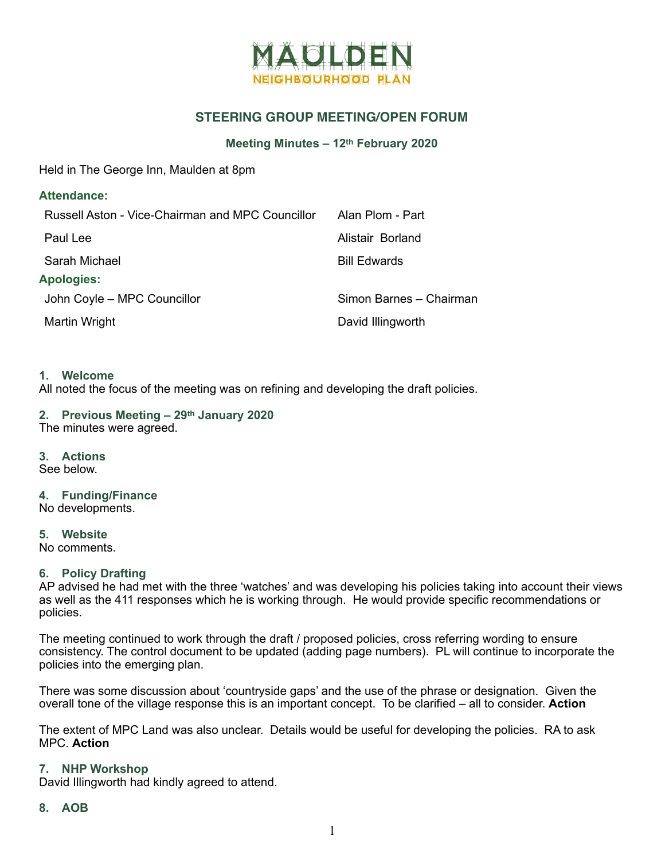

# **STEERING GROUP MEETING/OPEN FORUM**

#### **Meeting Minutes – 12th February 2020**

Held in The George Inn, Maulden at 8pm

| <b>Attendance:</b>                               |                         |
|--------------------------------------------------|-------------------------|
| Russell Aston - Vice-Chairman and MPC Councillor | Alan Plom - Part        |
| Paul Lee                                         | Alistair Borland        |
| Sarah Michael                                    | <b>Bill Edwards</b>     |
| <b>Apologies:</b>                                |                         |
| John Coyle - MPC Councillor                      | Simon Barnes - Chairman |
| Martin Wright                                    | David Illingworth       |
|                                                  |                         |

#### **1. Welcome**

All noted the focus of the meeting was on refining and developing the draft policies.

#### **2. Previous Meeting – 29th January 2020**  The minutes were agreed.

**3. Actions**  See below.

# **4. Funding/Finance**

No developments.

**5. Website**  No comments.

## **6. Policy Drafting**

AP advised he had met with the three 'watches' and was developing his policies taking into account their views as well as the 411 responses which he is working through. He would provide specific recommendations or policies.

The meeting continued to work through the draft / proposed policies, cross referring wording to ensure consistency. The control document to be updated (adding page numbers). PL will continue to incorporate the policies into the emerging plan.

There was some discussion about 'countryside gaps' and the use of the phrase or designation. Given the overall tone of the village response this is an important concept. To be clarified – all to consider. **Action** 

The extent of MPC Land was also unclear. Details would be useful for developing the policies. RA to ask MPC. **Action** 

#### **7. NHP Workshop**

David Illingworth had kindly agreed to attend.

#### **8. AOB**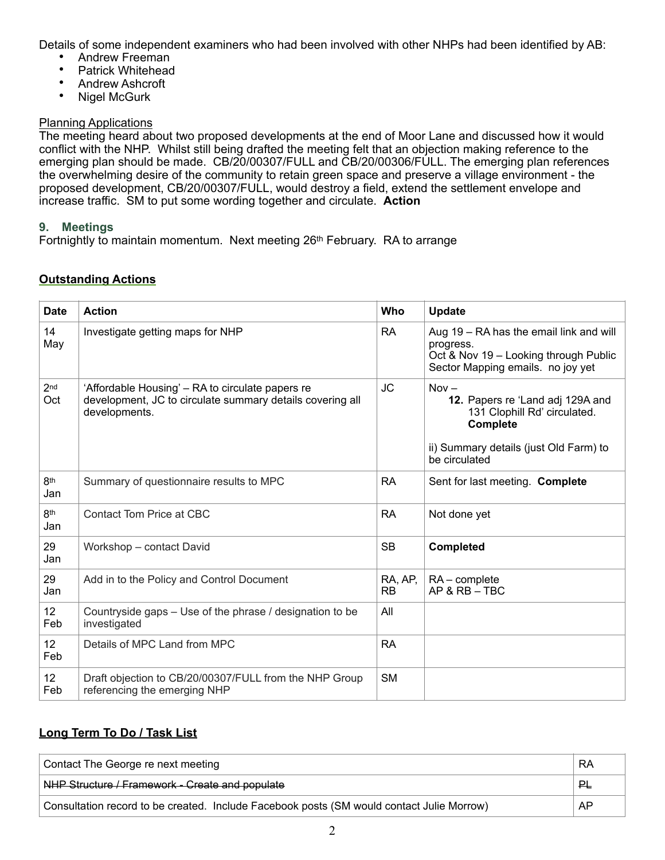Details of some independent examiners who had been involved with other NHPs had been identified by AB:

- Andrew Freeman<br>• Patrick Whitehead
- Patrick Whitehead
- Andrew Ashcroft<br>• Nigel McGurk
- Nigel McGurk

## Planning Applications

The meeting heard about two proposed developments at the end of Moor Lane and discussed how it would conflict with the NHP. Whilst still being drafted the meeting felt that an objection making reference to the emerging plan should be made. CB/20/00307/FULL and CB/20/00306/FULL. The emerging plan references the overwhelming desire of the community to retain green space and preserve a village environment - the proposed development, CB/20/00307/FULL, would destroy a field, extend the settlement envelope and increase traffic. SM to put some wording together and circulate. **Action** 

## **9. Meetings**

Fortnightly to maintain momentum. Next meeting 26<sup>th</sup> February. RA to arrange

## **Outstanding Actions**

| <b>Date</b>            | <b>Action</b>                                                                                                                  | Who                  | <b>Update</b>                                                                                                                                      |
|------------------------|--------------------------------------------------------------------------------------------------------------------------------|----------------------|----------------------------------------------------------------------------------------------------------------------------------------------------|
| 14<br>May              | Investigate getting maps for NHP                                                                                               | <b>RA</b>            | Aug 19 – RA has the email link and will<br>progress.<br>Oct & Nov 19 - Looking through Public<br>Sector Mapping emails. no joy yet                 |
| 2 <sub>nd</sub><br>Oct | 'Affordable Housing' – RA to circulate papers re<br>development, JC to circulate summary details covering all<br>developments. | <b>JC</b>            | $Nov -$<br>12. Papers re 'Land adj 129A and<br>131 Clophill Rd' circulated.<br>Complete<br>ii) Summary details (just Old Farm) to<br>be circulated |
| 8th<br>Jan             | Summary of questionnaire results to MPC                                                                                        | <b>RA</b>            | Sent for last meeting. Complete                                                                                                                    |
| 8th<br>Jan             | Contact Tom Price at CBC                                                                                                       | <b>RA</b>            | Not done yet                                                                                                                                       |
| 29<br>Jan              | Workshop - contact David                                                                                                       | <b>SB</b>            | <b>Completed</b>                                                                                                                                   |
| 29<br>Jan              | Add in to the Policy and Control Document                                                                                      | RA, AP,<br><b>RB</b> | $RA$ – complete<br>$AP & RB - TBC$                                                                                                                 |
| 12 <sup>°</sup><br>Feb | Countryside gaps - Use of the phrase / designation to be<br>investigated                                                       | All                  |                                                                                                                                                    |
| 12 <sup>°</sup><br>Feb | Details of MPC Land from MPC                                                                                                   | <b>RA</b>            |                                                                                                                                                    |
| 12<br>Feb              | Draft objection to CB/20/00307/FULL from the NHP Group<br>referencing the emerging NHP                                         | <b>SM</b>            |                                                                                                                                                    |

# **Long Term To Do / Task List**

| Contact The George re next meeting                                                        | RA |
|-------------------------------------------------------------------------------------------|----|
| NHP Structure / Framework - Create and populate                                           | 만  |
| Consultation record to be created. Include Facebook posts (SM would contact Julie Morrow) | AP |